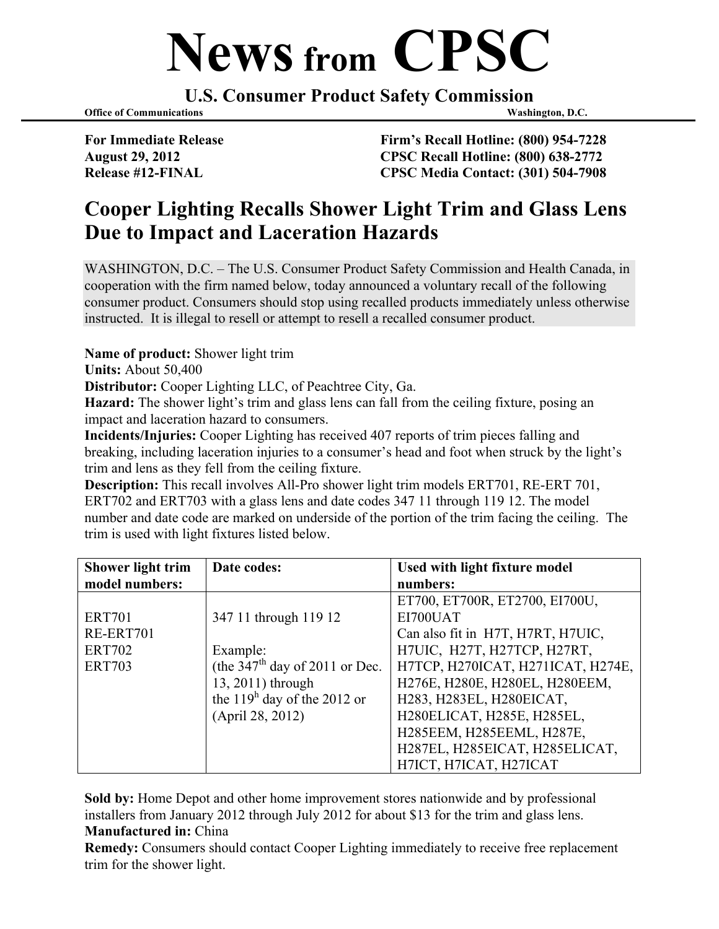## **News from CPSC**

**U.S. Consumer Product Safety Commission**

**Office of Communications Washington, D.C.** 

**For Immediate Release Firm's Recall Hotline: (800) 954-7228 August 29, 2012 CPSC Recall Hotline: (800) 638-2772 Release #12-FINAL CPSC Media Contact: (301) 504-7908**

## **Cooper Lighting Recalls Shower Light Trim and Glass Lens Due to Impact and Laceration Hazards**

WASHINGTON, D.C. – The U.S. Consumer Product Safety Commission and Health Canada, in cooperation with the firm named below, today announced a voluntary recall of the following consumer product. Consumers should stop using recalled products immediately unless otherwise instructed. It is illegal to resell or attempt to resell a recalled consumer product.

**Name of product:** Shower light trim

**Units:** About 50,400

**Distributor:** Cooper Lighting LLC, of Peachtree City, Ga.

**Hazard:** The shower light's trim and glass lens can fall from the ceiling fixture, posing an impact and laceration hazard to consumers.

**Incidents/Injuries:** Cooper Lighting has received 407 reports of trim pieces falling and breaking, including laceration injuries to a consumer's head and foot when struck by the light's trim and lens as they fell from the ceiling fixture.

**Description:** This recall involves All-Pro shower light trim models ERT701, RE-ERT 701, ERT702 and ERT703 with a glass lens and date codes 347 11 through 119 12. The model number and date code are marked on underside of the portion of the trim facing the ceiling. The trim is used with light fixtures listed below.

| <b>Shower light trim</b> | Date codes:                      | Used with light fixture model     |
|--------------------------|----------------------------------|-----------------------------------|
| model numbers:           |                                  | numbers:                          |
|                          |                                  | ET700, ET700R, ET2700, EI700U,    |
| <b>ERT701</b>            | 347 11 through 119 12            | EI700UAT                          |
| RE-ERT701                |                                  | Can also fit in H7T, H7RT, H7UIC, |
| <b>ERT702</b>            | Example:                         | H7UIC, H27T, H27TCP, H27RT,       |
| <b>ERT703</b>            | (the $347th$ day of 2011 or Dec. | H7TCP, H270ICAT, H271ICAT, H274E, |
|                          | 13, 2011) through                | H276E, H280E, H280EL, H280EEM,    |
|                          | the $119h$ day of the 2012 or    | H283, H283EL, H280EICAT,          |
|                          | (April 28, 2012)                 | H280ELICAT, H285E, H285EL,        |
|                          |                                  | H285EEM, H285EEML, H287E,         |
|                          |                                  | H287EL, H285EICAT, H285ELICAT,    |
|                          |                                  | H7ICT, H7ICAT, H27ICAT            |

**Sold by:** Home Depot and other home improvement stores nationwide and by professional installers from January 2012 through July 2012 for about \$13 for the trim and glass lens. **Manufactured in:** China

**Remedy:** Consumers should contact Cooper Lighting immediately to receive free replacement trim for the shower light.